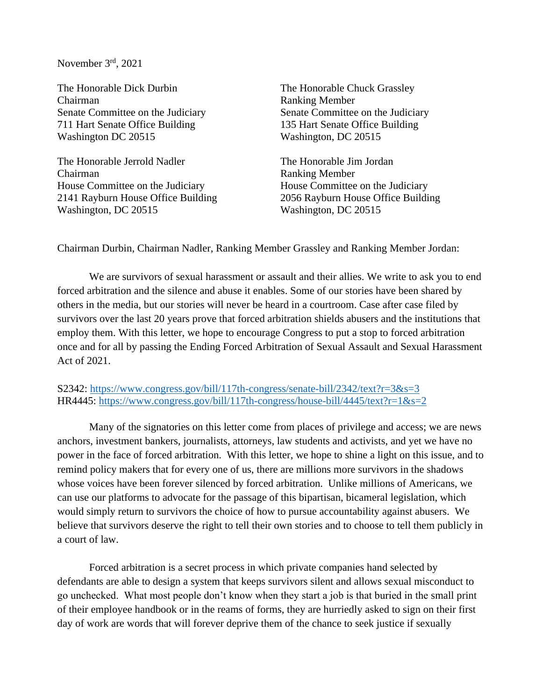November 3rd, 2021

The Honorable Dick Durbin The Honorable Chuck Grassley Chairman Ranking Member Senate Committee on the Judiciary Senate Committee on the Judiciary 711 Hart Senate Office Building 135 Hart Senate Office Building Washington DC 20515 Washington, DC 20515

The Honorable Jerrold Nadler The Honorable Jim Jordan Chairman Ranking Member House Committee on the Judiciary House Committee on the Judiciary Washington, DC 20515 Washington, DC 20515

2141 Rayburn House Office Building 2056 Rayburn House Office Building

Chairman Durbin, Chairman Nadler, Ranking Member Grassley and Ranking Member Jordan:

We are survivors of sexual harassment or assault and their allies. We write to ask you to end forced arbitration and the silence and abuse it enables. Some of our stories have been shared by others in the media, but our stories will never be heard in a courtroom. Case after case filed by survivors over the last 20 years prove that forced arbitration shields abusers and the institutions that employ them. With this letter, we hope to encourage Congress to put a stop to forced arbitration once and for all by passing the Ending Forced Arbitration of Sexual Assault and Sexual Harassment Act of 2021.

S2342: <https://www.congress.gov/bill/117th-congress/senate-bill/2342/text?r=3&s=3> HR4445: <https://www.congress.gov/bill/117th-congress/house-bill/4445/text?r=1&s=2>

Many of the signatories on this letter come from places of privilege and access; we are news anchors, investment bankers, journalists, attorneys, law students and activists, and yet we have no power in the face of forced arbitration. With this letter, we hope to shine a light on this issue, and to remind policy makers that for every one of us, there are millions more survivors in the shadows whose voices have been forever silenced by forced arbitration. Unlike millions of Americans, we can use our platforms to advocate for the passage of this bipartisan, bicameral legislation, which would simply return to survivors the choice of how to pursue accountability against abusers. We believe that survivors deserve the right to tell their own stories and to choose to tell them publicly in a court of law.

Forced arbitration is a secret process in which private companies hand selected by defendants are able to design a system that keeps survivors silent and allows sexual misconduct to go unchecked. What most people don't know when they start a job is that buried in the small print of their employee handbook or in the reams of forms, they are hurriedly asked to sign on their first day of work are words that will forever deprive them of the chance to seek justice if sexually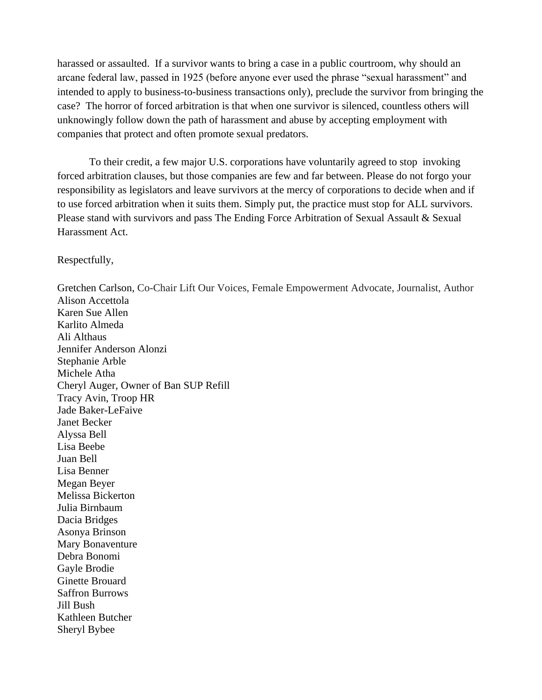harassed or assaulted. If a survivor wants to bring a case in a public courtroom, why should an arcane federal law, passed in 1925 (before anyone ever used the phrase "sexual harassment" and intended to apply to business-to-business transactions only), preclude the survivor from bringing the case? The horror of forced arbitration is that when one survivor is silenced, countless others will unknowingly follow down the path of harassment and abuse by accepting employment with companies that protect and often promote sexual predators.

To their credit, a few major U.S. corporations have voluntarily agreed to stop invoking forced arbitration clauses, but those companies are few and far between. Please do not forgo your responsibility as legislators and leave survivors at the mercy of corporations to decide when and if to use forced arbitration when it suits them. Simply put, the practice must stop for ALL survivors. Please stand with survivors and pass The Ending Force Arbitration of Sexual Assault & Sexual Harassment Act.

Respectfully,

Sheryl Bybee

Gretchen Carlson, Co-Chair Lift Our Voices, Female Empowerment Advocate, Journalist, Author Alison Accettola Karen Sue Allen Karlito Almeda Ali Althaus Jennifer Anderson Alonzi Stephanie Arble Michele Atha Cheryl Auger, Owner of Ban SUP Refill Tracy Avin, Troop HR Jade Baker-LeFaive Janet Becker Alyssa Bell Lisa Beebe Juan Bell Lisa Benner Megan Beyer Melissa Bickerton Julia Birnbaum Dacia Bridges Asonya Brinson Mary Bonaventure Debra Bonomi Gayle Brodie Ginette Brouard Saffron Burrows Jill Bush Kathleen Butcher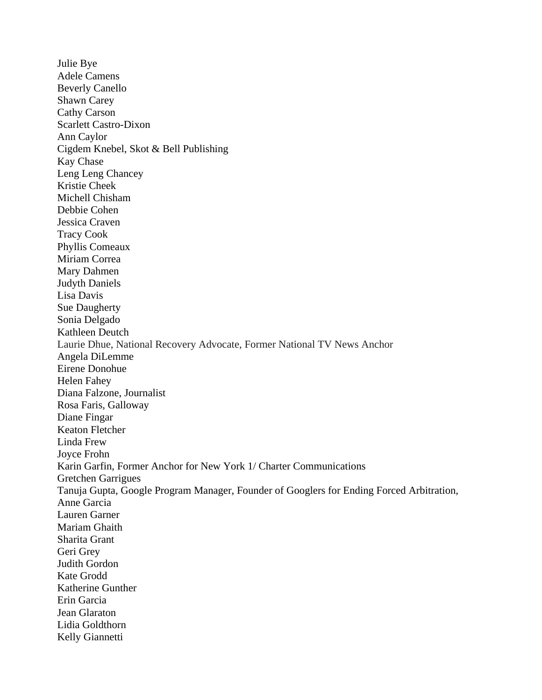Julie Bye Adele Camens Beverly Canello Shawn Carey Cathy Carson Scarlett Castro-Dixon Ann Caylor Cigdem Knebel, Skot & Bell Publishing Kay Chase Leng Leng Chancey Kristie Cheek Michell Chisham Debbie Cohen Jessica Craven Tracy Cook Phyllis Comeaux Miriam Correa Mary Dahmen Judyth Daniels Lisa Davis Sue Daugherty Sonia Delgado Kathleen Deutch Laurie Dhue, National Recovery Advocate, Former National TV News Anchor Angela DiLemme Eirene Donohue Helen Fahey Diana Falzone, Journalist Rosa Faris, Galloway Diane Fingar Keaton Fletcher Linda Frew Joyce Frohn Karin Garfin, Former Anchor for New York 1/ Charter Communications Gretchen Garrigues Tanuja Gupta, Google Program Manager, Founder of Googlers for Ending Forced Arbitration, Anne Garcia Lauren Garner Mariam Ghaith Sharita Grant Geri Grey Judith Gordon Kate Grodd Katherine Gunther Erin Garcia Jean Glaraton Lidia Goldthorn Kelly Giannetti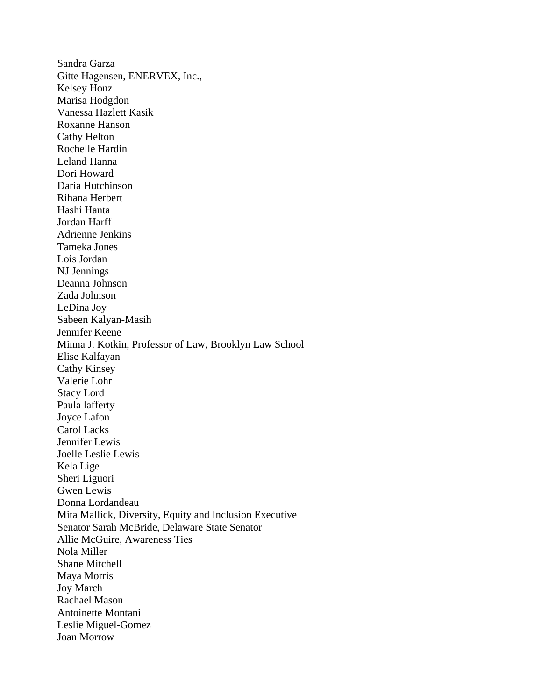Sandra Garza Gitte Hagensen, ENERVEX, Inc., Kelsey Honz Marisa Hodgdon Vanessa Hazlett Kasik Roxanne Hanson Cathy Helton Rochelle Hardin Leland Hanna Dori Howard Daria Hutchinson Rihana Herbert Hashi Hanta Jordan Harff Adrienne Jenkins Tameka Jones Lois Jordan NJ Jennings Deanna Johnson Zada Johnson LeDina Joy Sabeen Kalyan-Masih Jennifer Keene Minna J. Kotkin, Professor of Law, Brooklyn Law School Elise Kalfayan Cathy Kinsey Valerie Lohr Stacy Lord Paula lafferty Joyce Lafon Carol Lacks Jennifer Lewis Joelle Leslie Lewis Kela Lige Sheri Liguori Gwen Lewis Donna Lordandeau Mita Mallick, Diversity, Equity and Inclusion Executive Senator Sarah McBride, Delaware State Senator Allie McGuire, Awareness Ties Nola Miller Shane Mitchell Maya Morris Joy March Rachael Mason Antoinette Montani Leslie Miguel-Gomez Joan Morrow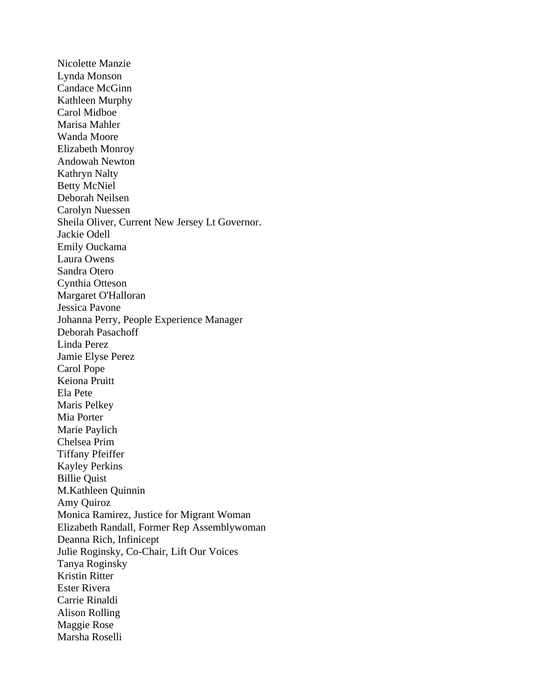Nicolette Manzie Lynda Monson Candace McGinn Kathleen Murphy Carol Midboe Marisa Mahler Wanda Moore Elizabeth Monroy Andowah Newton Kathryn Nalty Betty McNiel Deborah Neilsen Carolyn Nuessen Sheila Oliver, Current New Jersey Lt Governor. Jackie Odell Emily Ouckama Laura Owens Sandra Otero Cynthia Otteson Margaret O'Halloran Jessica Pavone Johanna Perry, People Experience Manager Deborah Pasachoff Linda Perez Jamie Elyse Perez Carol Pope Keiona Pruitt Ela Pete Maris Pelkey Mia Porter Marie Paylich Chelsea Prim Tiffany Pfeiffer Kayley Perkins Billie Quist M.Kathleen Quinnin Amy Quiroz Monica Ramirez, Justice for Migrant Woman Elizabeth Randall, Former Rep Assemblywoman Deanna Rich, Infinicept Julie Roginsky, Co-Chair, Lift Our Voices Tanya Roginsky Kristin Ritter Ester Rivera Carrie Rinaldi Alison Rolling Maggie Rose Marsha Roselli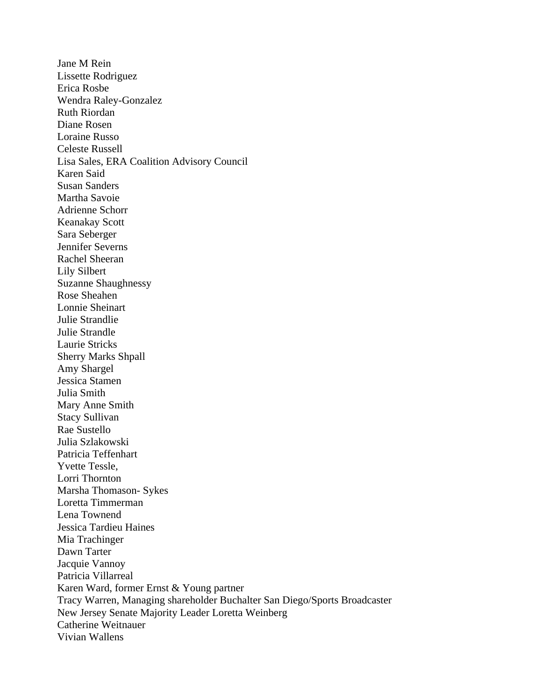Jane M Rein Lissette Rodriguez Erica Rosbe Wendra Raley-Gonzalez Ruth Riordan Diane Rosen Loraine Russo Celeste Russell Lisa Sales, ERA Coalition Advisory Council Karen Said Susan Sanders Martha Savoie Adrienne Schorr Keanakay Scott Sara Seberger Jennifer Severns Rachel Sheeran Lily Silbert Suzanne Shaughnessy Rose Sheahen Lonnie Sheinart Julie Strandlie Julie Strandle Laurie Stricks Sherry Marks Shpall Amy Shargel Jessica Stamen Julia Smith Mary Anne Smith Stacy Sullivan Rae Sustello Julia Szlakowski Patricia Teffenhart Yvette Tessle, Lorri Thornton Marsha Thomason- Sykes Loretta Timmerman Lena Townend Jessica Tardieu Haines Mia Trachinger Dawn Tarter Jacquie Vannoy Patricia Villarreal Karen Ward, former Ernst & Young partner Tracy Warren, Managing shareholder Buchalter San Diego/Sports Broadcaster New Jersey Senate Majority Leader Loretta Weinberg Catherine Weitnauer Vivian Wallens